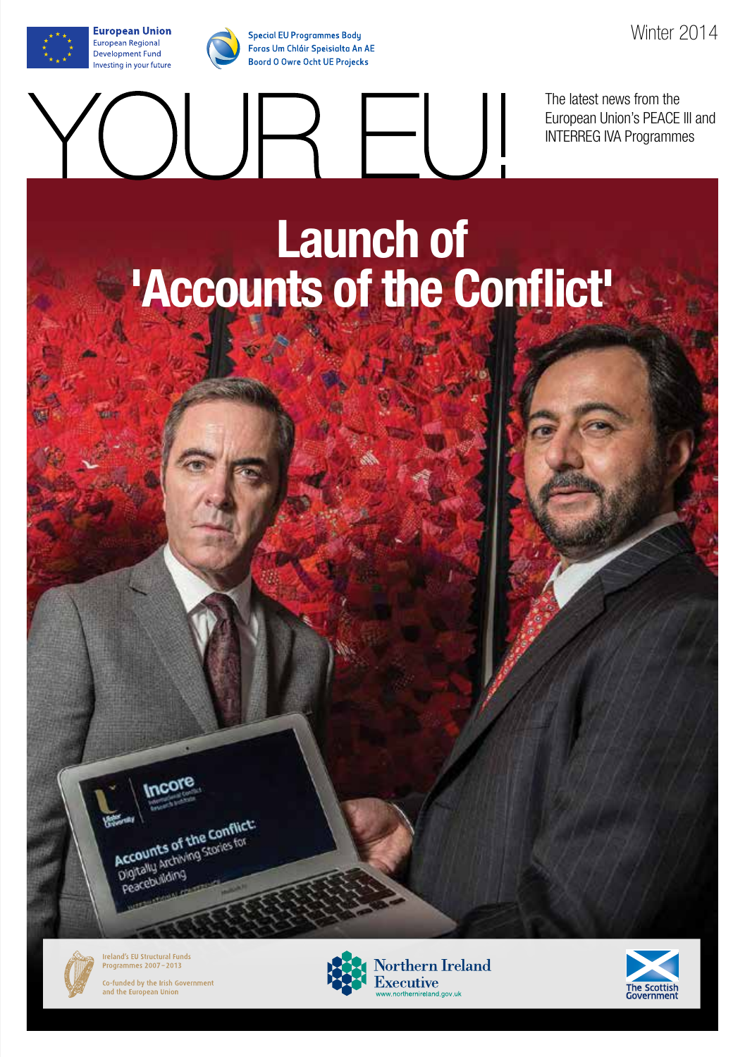**European Union** 

European Regional

**Development Fund** 

Investing in your future

The latest news from the European Union's PEACE lll and INTERREG IVA Programmes

### **Launch of 'Accounts of the Conflict'**

JR EU!





**Ireland's EU Structural Funds** Programmes 2007-2013





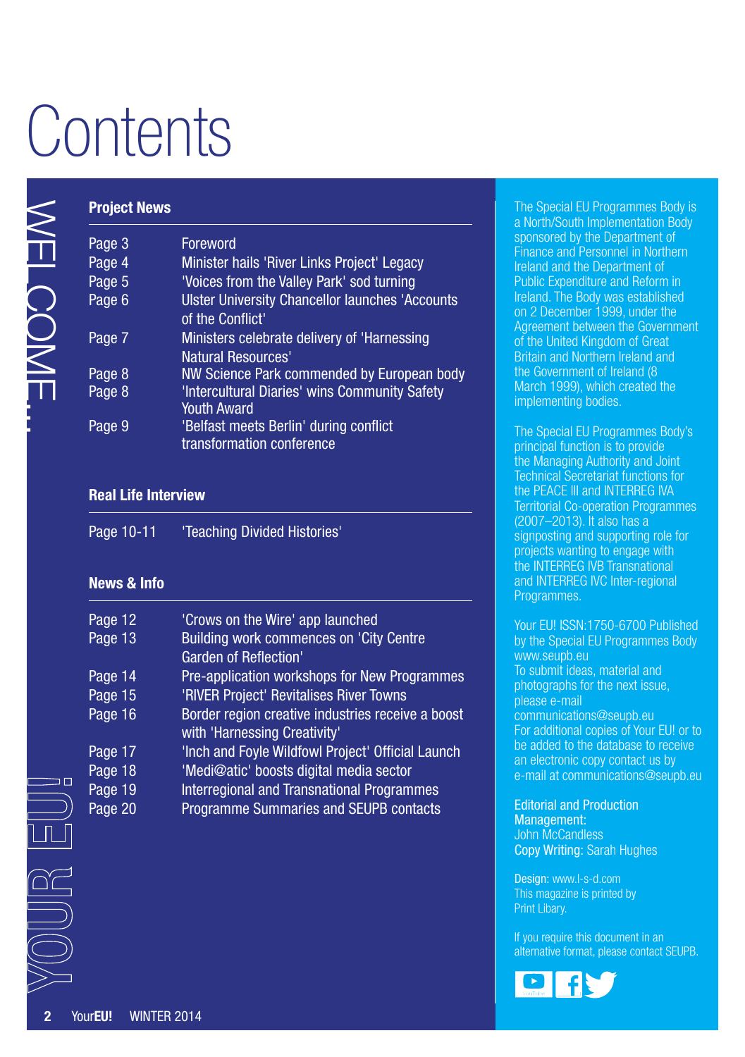# **Contents**

| <b>Project News</b>           |                                                                                   |
|-------------------------------|-----------------------------------------------------------------------------------|
| Page 3                        | Foreword                                                                          |
| Page 4                        | Minister hails 'River Links Project' Legacy                                       |
| Page 5                        | 'Voices from the Valley Park' sod turning                                         |
| Page 6                        | <b>Ulster University Chancellor launches 'Accounts</b><br>of the Conflict'        |
| Page 7                        | Ministers celebrate delivery of 'Harnessing                                       |
|                               | Natural Resources'                                                                |
| Page 8                        | NW Science Park commended by European body                                        |
| Page 8                        | 'Intercultural Diaries' wins Community Safety<br><b>Youth Award</b>               |
| Page 9                        | 'Belfast meets Berlin' during conflict<br>transformation conference               |
| <b>Real Life Interview</b>    |                                                                                   |
| Page 10-11                    | 'Teaching Divided Histories'                                                      |
| <b>News &amp; Info</b>        |                                                                                   |
| Page 12                       | 'Crows on the Wire' app launched                                                  |
| Page 13                       | Building work commences on 'City Centre<br>Garden of Reflection'                  |
| Page 14                       | Pre-application workshops for New Programmes                                      |
| Page 15                       | 'RIVER Project' Revitalises River Towns                                           |
| Page 16                       | Border region creative industries receive a boost<br>with 'Harnessing Creativity' |
| Page 17                       | 'Inch and Foyle Wildfowl Project' Official Launch                                 |
| Page 18                       | 'Medi@atic' boosts digital media sector                                           |
| Page 19                       | Interregional and Transnational Programmes                                        |
| Page 20                       | Programme Summaries and SEUPB contacts                                            |
|                               |                                                                                   |
|                               |                                                                                   |
|                               |                                                                                   |
|                               |                                                                                   |
|                               |                                                                                   |
|                               |                                                                                   |
|                               |                                                                                   |
|                               |                                                                                   |
|                               |                                                                                   |
| YourEU!<br><b>WINTER 2014</b> |                                                                                   |

#### **Real Life Interview**

| Page 10-11 | 'Teaching Divided Histories' |
|------------|------------------------------|
|------------|------------------------------|

### **News & Info**

| Page 12 | 'Crows on the Wire' app launched                  |
|---------|---------------------------------------------------|
| Page 13 | Building work commences on 'City Centre           |
|         | <b>Garden of Reflection'</b>                      |
| Page 14 | Pre-application workshops for New Programmes      |
| Page 15 | 'RIVER Project' Revitalises River Towns           |
| Page 16 | Border region creative industries receive a boost |
|         | with 'Harnessing Creativity'                      |
| Page 17 | 'Inch and Foyle Wildfowl Project' Official Launch |
| Page 18 | 'Medi@atic' boosts digital media sector           |
| Page 19 | <b>Interregional and Transnational Programmes</b> |
| Page 20 | Programme Summaries and SEUPB contacts            |
|         |                                                   |

The Special EU Programmes Body is a North/South Implementation Body sponsored by the Department of Finance and Personnel in Northern Ireland and the Department of Public Expenditure and Reform in Ireland. The Body was established on 2 December 1999, under the Agreement between the Government of the United Kingdom of Great Britain and Northern Ireland and the Government of Ireland (8 March 1999), which created the implementing bodies.

The Special EU Programmes Body's principal function is to provide the Managing Authority and Joint Technical Secretariat functions for the PEACE III and INTERREG IVA Territorial Co-operation Programmes (2007–2013). It also has a signposting and supporting role for projects wanting to engage with the INTERREG IVB Transnational and INTERREG IVC Inter-regional Programmes.

Your EU! ISSN:1750-6700 Published by the Special EU Programmes Body [www.seupb.eu](http://www.seupb.eu) To submit ideas, material and photographs for the next issue, please e-mail [communications@seupb.eu](mailto:communications%40seupb.eu?subject=communications%40seupb.eu)  For additional copies of Your EU! or to be added to the database to receive an electronic copy contact us by e-mail at [communications@seupb.eu](mailto:communications%40seupb.eu?subject=communications%40seupb.eu)

Editorial and Production Management: John McCandless Copy Writing: Sarah Hughes

Design: [www.l-s-d.com](http://www.l-s-d.com) This magazine is printed by Print Libary.

If you require this document in an alternative format, please contact SEUPB.

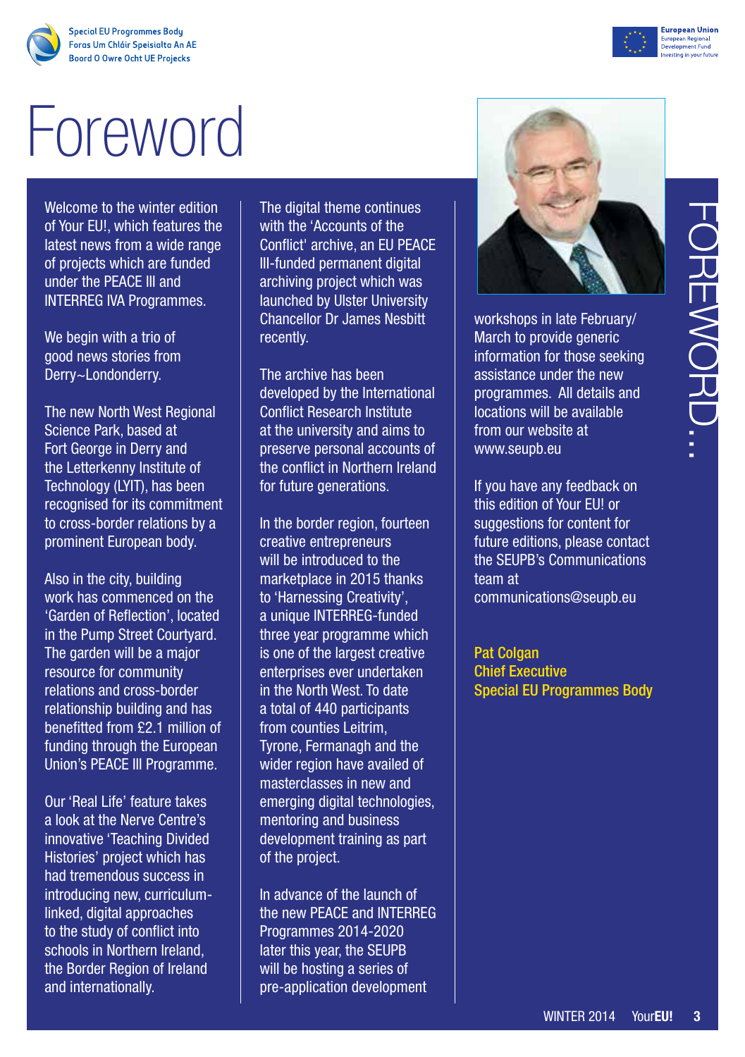# Foreword

Welcome to the winter edition of Your EU!, which features the latest news from a wide range of projects which are funded under the PEACE III and INTERREG IVA Programmes.

We begin with a trio of good news stories from Derry~Londonderry.

The new North West Regional Science Park, based at Fort George in Derry and the Letterkenny Institute of Technology (LYIT), has been recognised for its commitment to cross-border relations by a prominent European body.

Also in the city, building work has commenced on the 'Garden of Reflection', located in the Pump Street Courtyard. The garden will be a major resource for community relations and cross-border relationship building and has benefitted from £2.1 million of funding through the European Union's PEACE III Programme.

Our 'Real Life' feature takes a look at the Nerve Centre's innovative 'Teaching Divided Histories' project which has had tremendous success in introducing new, curriculumlinked, digital approaches to the study of conflict into schools in Northern Ireland, the Border Region of Ireland and internationally.

The digital theme continues with the 'Accounts of the Conflict' archive, an EU PEACE III-funded permanent digital archiving project which was launched by Ulster University Chancellor Dr James Nesbitt recently.

The archive has been developed by the International Conflict Research Institute at the university and aims to preserve personal accounts of the conflict in Northern Ireland for future generations.

In the border region, fourteen creative entrepreneurs will be introduced to the marketplace in 2015 thanks to 'Harnessing Creativity', a unique INTERREG-funded three year programme which is one of the largest creative enterprises ever undertaken in the North West. To date a total of 440 participants from counties Leitrim, Tyrone, Fermanagh and the wider region have availed of masterclasses in new and emerging digital technologies, mentoring and business development training as part of the project.

In advance of the launch of the new PEACE and INTERREG Programmes 2014-2020 later this year, the SEUPB will be hosting a series of pre-application development



workshops in late February/ March to provide generic information for those seeking assistance under the new programmes. All details and locations will be available from our website at [www.seupb.eu](http://www.seupb.eu) 

Pat Colgan Chief Executive Special EU Programmes Body



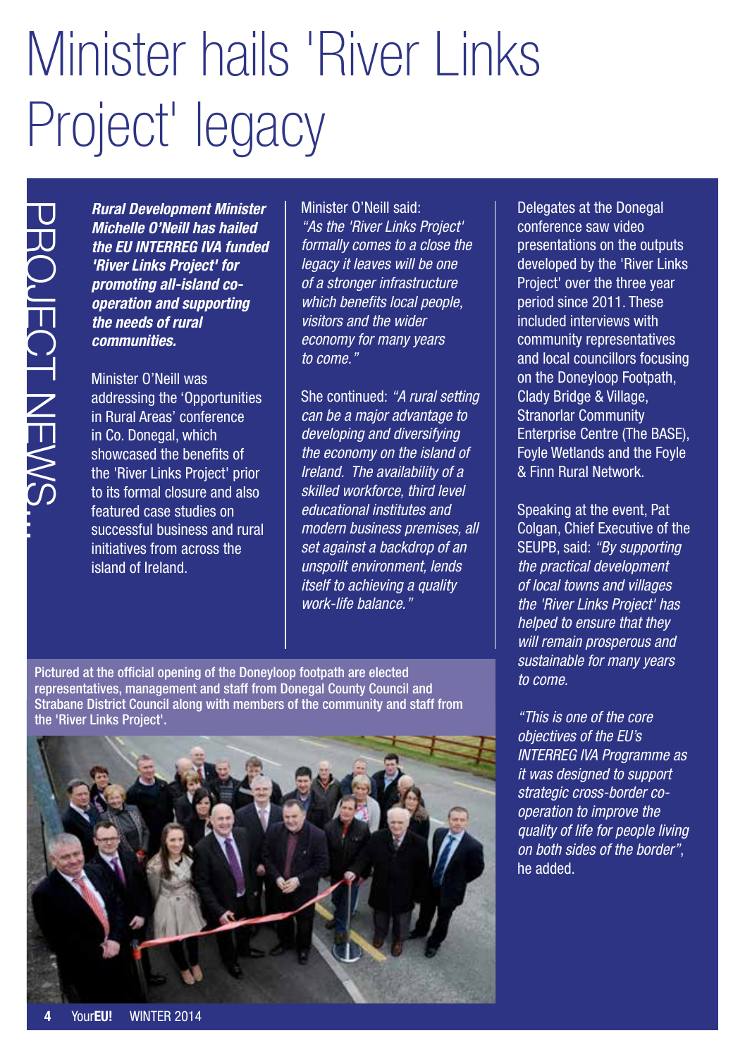## Minister hails 'River Links Project' legacy

*Rural Development Minister Michelle O'Neill has hailed the EU INTERREG IVA funded 'River Links Project' for promoting all-island cooperation and supporting the needs of rural communities.*

Minister O'Neill was addressing the 'Opportunities in Rural Areas' conference in Co. Donegal, which showcased the benefits of the 'River Links Project' prior to its formal closure and also featured case studies on successful business and rural initiatives from across the island of Ireland.

Minister O'Neill said: *"As the 'River Links Project' formally comes to a close the legacy it leaves will be one of a stronger infrastructure which benefits local people, visitors and the wider economy for many years to come."*

She continued: *"A rural setting can be a major advantage to developing and diversifying the economy on the island of Ireland. The availability of a skilled workforce, third level educational institutes and modern business premises, all set against a backdrop of an unspoilt environment, lends itself to achieving a quality work-life balance."*

Pictured at the official opening of the Doneyloop footpath are elected representatives, management and staff from Donegal County Council and Strabane District Council along with members of the community and staff from the 'River Links Project'.



Delegates at the Donegal conference saw video presentations on the outputs developed by the 'River Links Project' over the three year period since 2011. These included interviews with community representatives and local councillors focusing on the Doneyloop Footpath, Clady Bridge & Village, Stranorlar Community Enterprise Centre (The BASE), Foyle Wetlands and the Foyle & Finn Rural Network.

Speaking at the event, Pat Colgan, Chief Executive of the SEUPB, said: *"By supporting the practical development of local towns and villages the 'River Links Project' has helped to ensure that they will remain prosperous and sustainable for many years to come.*

*"This is one of the core objectives of the EU's INTERREG IVA Programme as it was designed to support strategic cross-border cooperation to improve the quality of life for people living on both sides of the border"*, he added.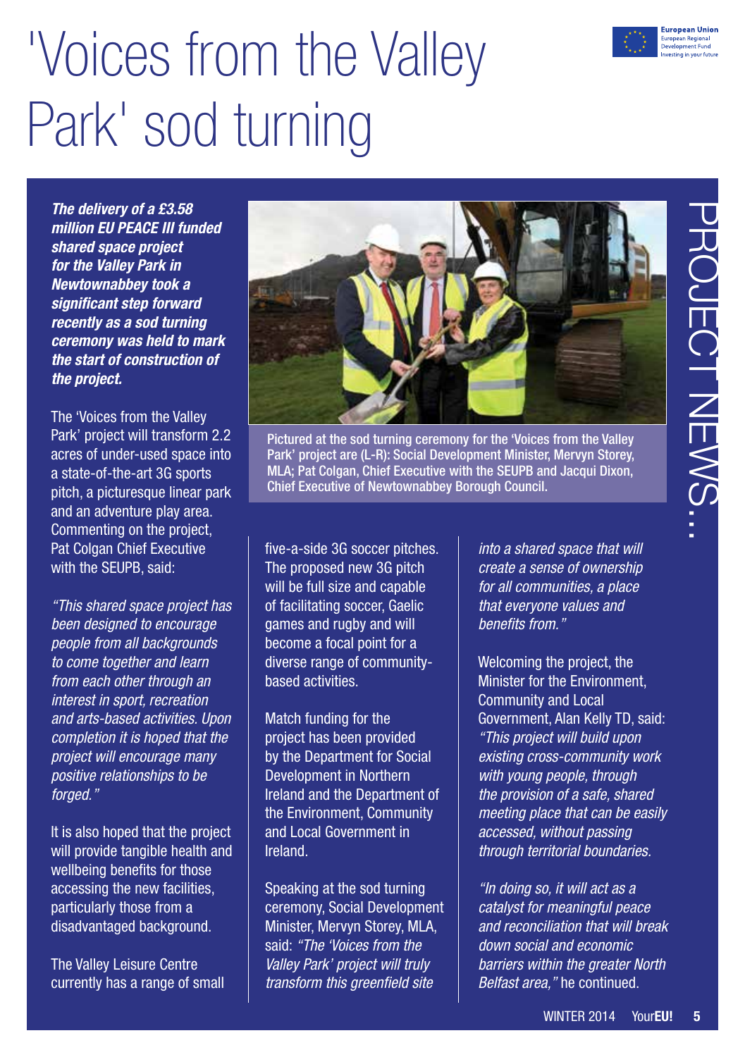

## 'Voices from the Valley Park' sod turning

*The delivery of a £3.58 million EU PEACE III funded shared space project for the Valley Park in Newtownabbey took a significant step forward recently as a sod turning ceremony was held to mark the start of construction of the project.* 

The 'Voices from the Valley Park' project will transform 2.2 acres of under-used space into a state-of-the-art 3G sports pitch, a picturesque linear park and an adventure play area. Commenting on the project, Pat Colgan Chief Executive with the SEUPB, said:

*"This shared space project has been designed to encourage people from all backgrounds to come together and learn from each other through an interest in sport, recreation and arts-based activities. Upon completion it is hoped that the project will encourage many positive relationships to be forged."*

It is also hoped that the project will provide tangible health and wellbeing benefits for those accessing the new facilities, particularly those from a disadvantaged background.

The Valley Leisure Centre currently has a range of small



Pictured at the sod turning ceremony for the 'Voices from the Valley Park' project are (L-R): Social Development Minister, Mervyn Storey, MLA; Pat Colgan, Chief Executive with the SEUPB and Jacqui Dixon, Chief Executive of Newtownabbey Borough Council.

five-a-side 3G soccer pitches. The proposed new 3G pitch will be full size and capable of facilitating soccer, Gaelic games and rugby and will become a focal point for a diverse range of communitybased activities.

Match funding for the project has been provided by the Department for Social Development in Northern Ireland and the Department of the Environment, Community and Local Government in Ireland.

Speaking at the sod turning ceremony, Social Development Minister, Mervyn Storey, MLA, said: *"The 'Voices from the Valley Park' project will truly transform this greenfield site* 

*into a shared space that will create a sense of ownership for all communities, a place that everyone values and benefits from."*

Welcoming the project, the Minister for the Environment, Community and Local Government, Alan Kelly TD, said: *"This project will build upon existing cross-community work with young people, through the provision of a safe, shared meeting place that can be easily accessed, without passing through territorial boundaries.* 

*"In doing so, it will act as a catalyst for meaningful peace and reconciliation that will break down social and economic barriers within the greater North Belfast area,"* he continued.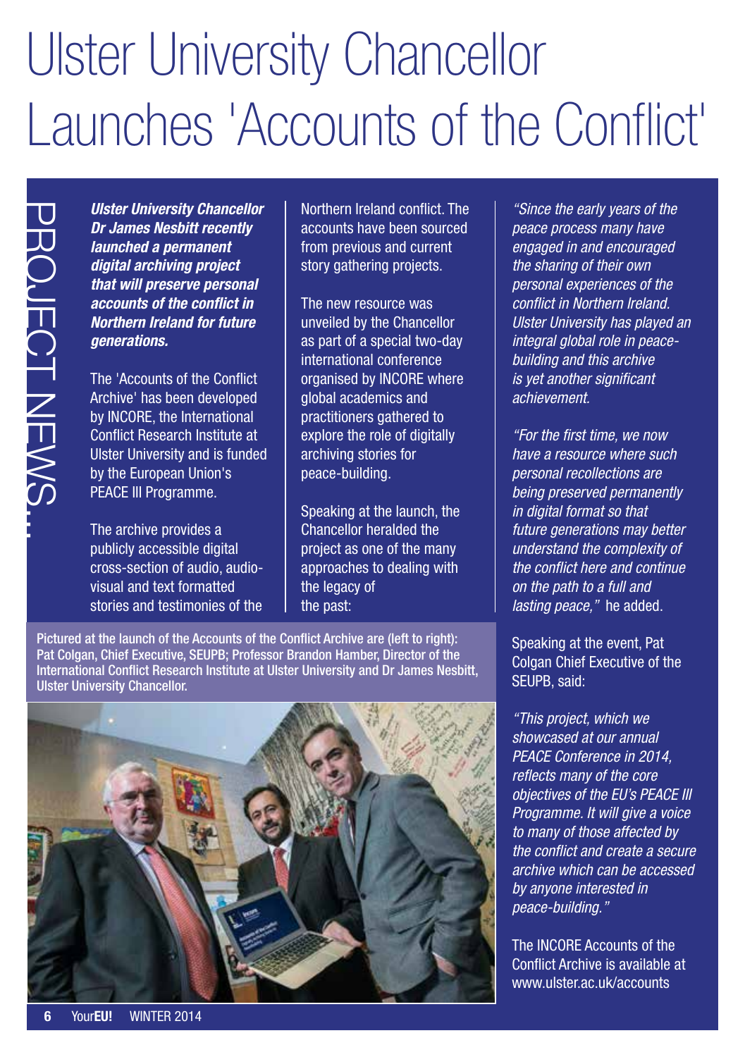### Ulster University Chancellor Launches 'Accounts of the Conflict'

*Ulster University Chancellor Dr James Nesbitt recently launched a permanent digital archiving project that will preserve personal accounts of the conflict in Northern Ireland for future generations.*

The 'Accounts of the Conflict Archive' has been developed by INCORE, the International Conflict Research Institute at Ulster University and is funded by the European Union's PEACE III Programme.

The archive provides a publicly accessible digital cross-section of audio, audiovisual and text formatted stories and testimonies of the Northern Ireland conflict. The accounts have been sourced from previous and current story gathering projects.

The new resource was unveiled by the Chancellor as part of a special two-day international conference organised by INCORE where global academics and practitioners gathered to explore the role of digitally archiving stories for peace-building.

Speaking at the launch, the Chancellor heralded the project as one of the many approaches to dealing with the legacy of the past:

Pictured at the launch of the Accounts of the Conflict Archive are (left to right): Pat Colgan, Chief Executive, SEUPB; Professor Brandon Hamber, Director of the International Conflict Research Institute at Ulster University and Dr James Nesbitt, Ulster University Chancellor.



*"Since the early years of the peace process many have engaged in and encouraged the sharing of their own personal experiences of the conflict in Northern Ireland. Ulster University has played an integral global role in peacebuilding and this archive is yet another significant achievement.*

*"For the first time, we now have a resource where such personal recollections are being preserved permanently in digital format so that future generations may better understand the complexity of the conflict here and continue on the path to a full and lasting peace,"* he added.

Speaking at the event, Pat Colgan Chief Executive of the SEUPB, said:

*"This project, which we showcased at our annual PEACE Conference in 2014, reflects many of the core objectives of the EU's PEACE III Programme. It will give a voice to many of those affected by the conflict and create a secure archive which can be accessed by anyone interested in peace-building."*

The INCORE Accounts of the Conflict Archive is available at [www.ulster.ac.uk/accounts](http://www.ulster.ac.uk/accounts)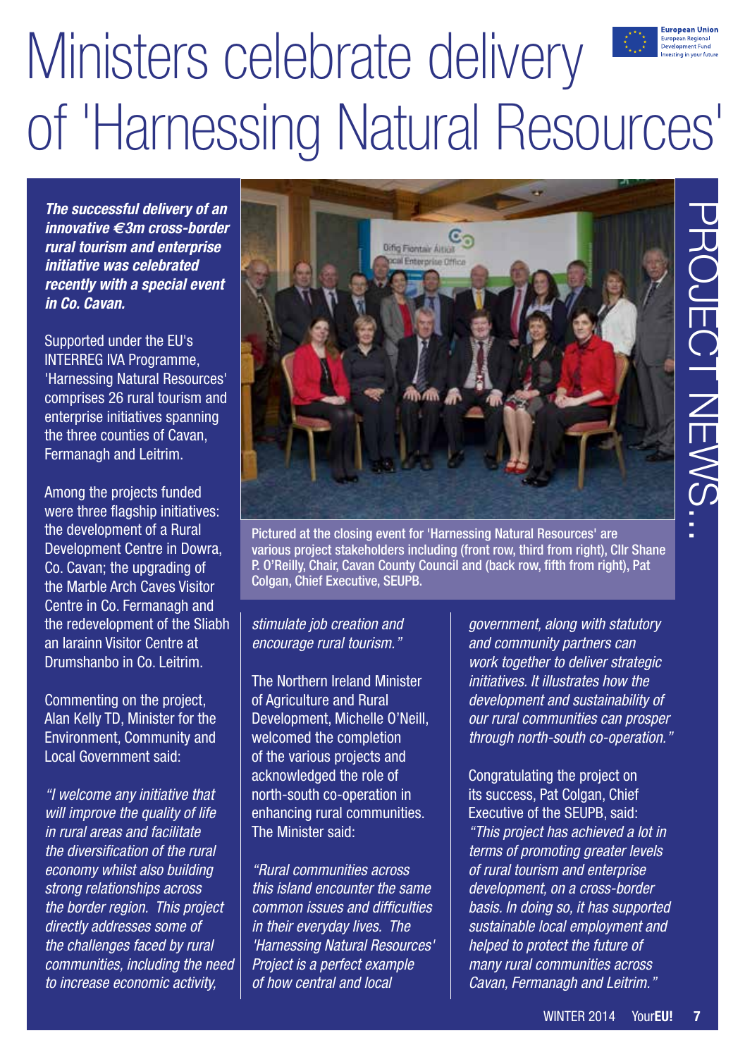### European Unior Ministers celebrate delivery uropean Regional<br>evelopment Fund of 'Harnessing Natural Resources'

*The successful delivery of an innovative €3m cross-border rural tourism and enterprise initiative was celebrated recently with a special event in Co. Cavan.* 

Supported under the EU's INTERREG IVA Programme, 'Harnessing Natural Resources' comprises 26 rural tourism and enterprise initiatives spanning the three counties of Cavan, Fermanagh and Leitrim.

Among the projects funded were three flagship initiatives: the development of a Rural Development Centre in Dowra, Co. Cavan; the upgrading of the Marble Arch Caves Visitor Centre in Co. Fermanagh and the redevelopment of the Sliabh an Iarainn Visitor Centre at Drumshanbo in Co. Leitrim.

Commenting on the project, Alan Kelly TD, Minister for the Environment, Community and Local Government said:

*"I welcome any initiative that will improve the quality of life in rural areas and facilitate the diversification of the rural economy whilst also building strong relationships across the border region. This project directly addresses some of the challenges faced by rural communities, including the need to increase economic activity,* 



Pictured at the closing event for 'Harnessing Natural Resources' are various project stakeholders including (front row, third from right), Cllr Shane P. O'Reilly, Chair, Cavan County Council and (back row, fifth from right), Pat Colgan, Chief Executive, SEUPB.

*stimulate job creation and encourage rural tourism."*

The Northern Ireland Minister of Agriculture and Rural Development, Michelle O'Neill, welcomed the completion of the various projects and acknowledged the role of north-south co-operation in enhancing rural communities. The Minister said:

*"Rural communities across this island encounter the same common issues and difficulties in their everyday lives. The 'Harnessing Natural Resources' Project is a perfect example of how central and local* 

*government, along with statutory and community partners can work together to deliver strategic initiatives. It illustrates how the development and sustainability of our rural communities can prosper through north-south co-operation."*

Congratulating the project on its success, Pat Colgan, Chief Executive of the SEUPB, said: *"This project has achieved a lot in terms of promoting greater levels of rural tourism and enterprise development, on a cross-border basis. In doing so, it has supported sustainable local employment and helped to protect the future of many rural communities across Cavan, Fermanagh and Leitrim."*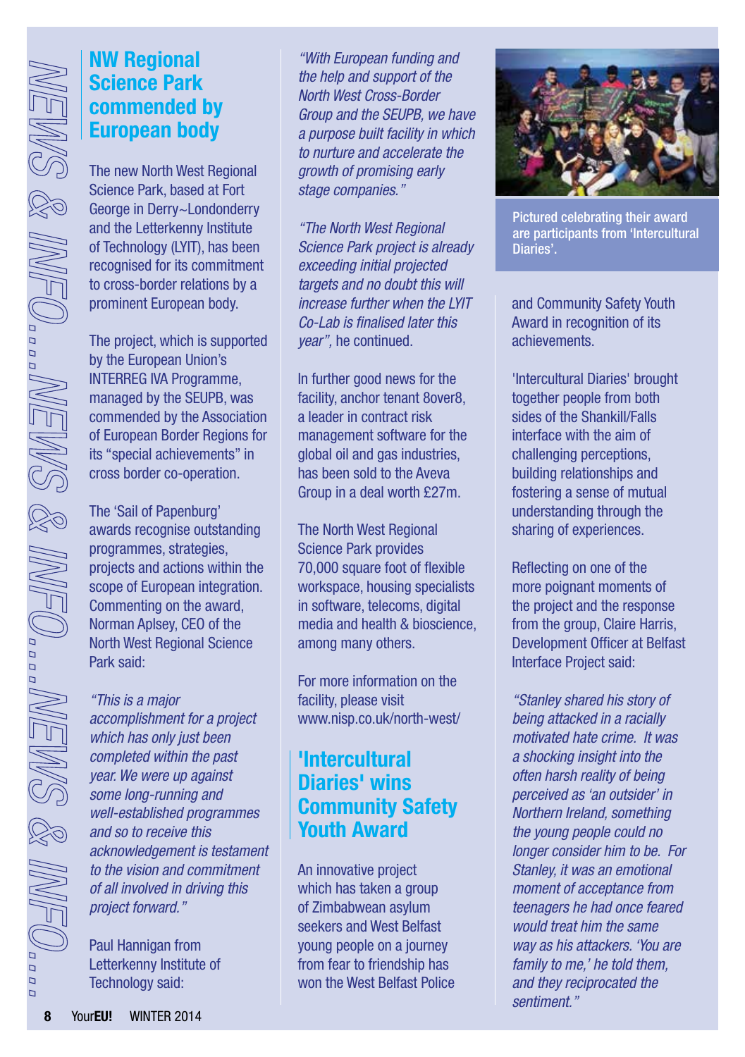### **NW Regional Science Park commended by European body**

The new North West Regional Science Park, based at Fort George in Derry~Londonderry and the Letterkenny Institute of Technology (LYIT), has been recognised for its commitment to cross-border relations by a prominent European body.

The project, which is supported by the European Union's INTERREG IVA Programme, managed by the SEUPB, was commended by the Association of European Border Regions for its "special achievements" in cross border co-operation.

The 'Sail of Papenburg' awards recognise outstanding programmes, strategies, projects and actions within the scope of European integration. Commenting on the award, Norman Aplsey, CEO of the North West Regional Science Park said:

*"This is a major accomplishment for a project which has only just been completed within the past year. We were up against some long-running and well-established programmes and so to receive this acknowledgement is testament to the vision and commitment of all involved in driving this project forward."*

Paul Hannigan from Letterkenny Institute of Technology said:

*"With European funding and the help and support of the North West Cross-Border Group and the SEUPB, we have a purpose built facility in which to nurture and accelerate the growth of promising early stage companies."*

*"The North West Regional Science Park project is already exceeding initial projected targets and no doubt this will increase further when the LYIT Co-Lab is finalised later this year",* he continued.

In further good news for the facility, anchor tenant 8over8, a leader in contract risk management software for the global oil and gas industries, has been sold to the Aveva Group in a deal worth £27m.

The North West Regional Science Park provides 70,000 square foot of flexible workspace, housing specialists in software, telecoms, digital media and health & bioscience, among many others.

For more information on the facility, please visit [www.nisp.co.uk/north-west/](http://www.nisp.co.uk/north-west/)

### **'Intercultural Diaries' wins Community Safety Youth Award**

An innovative project which has taken a group of Zimbabwean asylum seekers and West Belfast young people on a journey from fear to friendship has won the West Belfast Police



Pictured celebrating their award are participants from 'Intercultural Diaries'.

and Community Safety Youth Award in recognition of its achievements.

'Intercultural Diaries' brought together people from both sides of the Shankill/Falls interface with the aim of challenging perceptions, building relationships and fostering a sense of mutual understanding through the sharing of experiences.

Reflecting on one of the more poignant moments of the project and the response from the group, Claire Harris, Development Officer at Belfast Interface Project said:

*"Stanley shared his story of being attacked in a racially motivated hate crime. It was a shocking insight into the often harsh reality of being perceived as 'an outsider' in Northern Ireland, something the young people could no longer consider him to be. For Stanley, it was an emotional moment of acceptance from teenagers he had once feared would treat him the same way as his attackers. 'You are family to me,' he told them, and they reciprocated the sentiment."*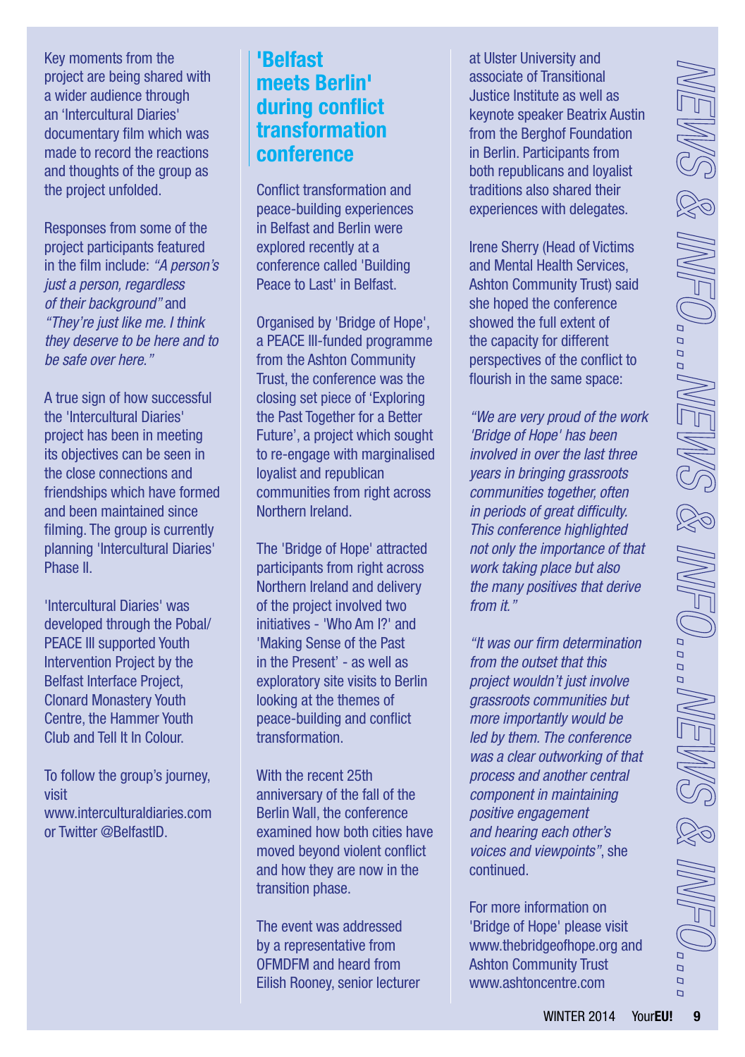Key moments from the project are being shared with a wider audience through an 'Intercultural Diaries' documentary film which was made to record the reactions and thoughts of the group as the project unfolded.

Responses from some of the project participants featured in the film include: *"A person's just a person, regardless of their background"* and *"They're just like me. I think they deserve to be here and to be safe over here."*

A true sign of how successful the 'Intercultural Diaries' project has been in meeting its objectives can be seen in the close connections and friendships which have formed and been maintained since filming. The group is currently planning 'Intercultural Diaries' Phase II.

'Intercultural Diaries' was developed through the Pobal/ PEACE III supported Youth Intervention Project by the Belfast Interface Project, Clonard Monastery Youth Centre, the Hammer Youth Club and Tell It In Colour.

To follow the group's journey, visit [www.interculturaldiaries.com](http://www.interculturaldiaries.com)  or Twitter @BelfastID.

### **'Belfast meets Berlin' during conflict transformation conference**

Conflict transformation and peace-building experiences in Belfast and Berlin were explored recently at a conference called 'Building Peace to Last' in Belfast.

Organised by 'Bridge of Hope', a PEACE III-funded programme from the Ashton Community Trust, the conference was the closing set piece of 'Exploring the Past Together for a Better Future', a project which sought to re-engage with marginalised loyalist and republican communities from right across Northern Ireland.

The 'Bridge of Hope' attracted participants from right across Northern Ireland and delivery of the project involved two initiatives - 'Who Am I?' and 'Making Sense of the Past in the Present' - as well as exploratory site visits to Berlin looking at the themes of peace-building and conflict transformation.

With the recent 25th anniversary of the fall of the Berlin Wall, the conference examined how both cities have moved beyond violent conflict and how they are now in the transition phase.

The event was addressed by a representative from OFMDFM and heard from Eilish Rooney, senior lecturer at Ulster University and associate of Transitional Justice Institute as well as keynote speaker Beatrix Austin from the Berghof Foundation in Berlin. Participants from both republicans and loyalist traditions also shared their experiences with delegates.

Irene Sherry (Head of Victims and Mental Health Services, Ashton Community Trust) said she hoped the conference showed the full extent of the capacity for different perspectives of the conflict to flourish in the same space:

*"We are very proud of the work 'Bridge of Hope' has been involved in over the last three years in bringing grassroots communities together, often in periods of great difficulty. This conference highlighted not only the importance of that work taking place but also the many positives that derive from it."* 

*"It was our firm determination from the outset that this project wouldn't just involve grassroots communities but more importantly would be led by them. The conference was a clear outworking of that process and another central component in maintaining positive engagement and hearing each other's voices and viewpoints"*, she continued.

For more information on 'Bridge of Hope' please visit [www.thebridgeofhope.org](http://www.thebridgeofhope.org) and Ashton Community Trust [www.ashtoncentre.com](http://www.ashtoncentre.com)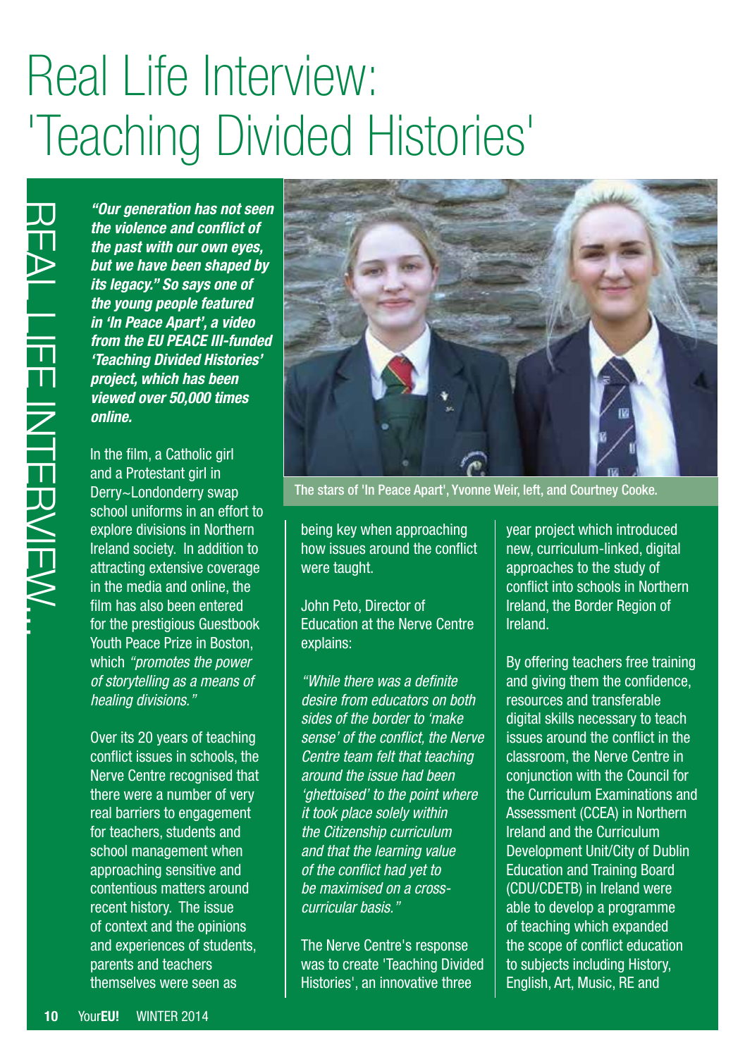### Real Life Interview: 'Teaching Divided Histories'

*"Our generation has not seen the violence and conflict of the past with our own eyes, but we have been shaped by its legacy." So says one of the young people featured in 'In Peace Apart', a video from the EU PEACE III-funded 'Teaching Divided Histories' project, which has been viewed over 50,000 times online.*

**10** Your**EU!** WINTER 2014 REAL LIFE INTERVIEW... In the film, a Catholic girl and a Protestant girl in Derry~Londonderry swap school uniforms in an effort to explore divisions in Northern Ireland society. In addition to attracting extensive coverage in the media and online, the film has also been entered for the prestigious Guestbook Youth Peace Prize in Boston, which *"promotes the power of storytelling as a means of healing divisions."*

Over its 20 years of teaching conflict issues in schools, the Nerve Centre recognised that there were a number of very real barriers to engagement for teachers, students and school management when approaching sensitive and contentious matters around recent history. The issue of context and the opinions and experiences of students, parents and teachers themselves were seen as



The stars of 'In Peace Apart', Yvonne Weir, left, and Courtney Cooke.

being key when approaching how issues around the conflict were taught.

John Peto, Director of Education at the Nerve Centre explains:

*"While there was a definite desire from educators on both sides of the border to 'make sense' of the conflict, the Nerve Centre team felt that teaching around the issue had been 'ghettoised' to the point where it took place solely within the Citizenship curriculum and that the learning value of the conflict had yet to be maximised on a crosscurricular basis."*

The Nerve Centre's response was to create 'Teaching Divided Histories', an innovative three

year project which introduced new, curriculum-linked, digital approaches to the study of conflict into schools in Northern Ireland, the Border Region of Ireland.

By offering teachers free training and giving them the confidence, resources and transferable digital skills necessary to teach issues around the conflict in the classroom, the Nerve Centre in conjunction with the Council for the Curriculum Examinations and Assessment (CCEA) in Northern Ireland and the Curriculum Development Unit/City of Dublin Education and Training Board (CDU/CDETB) in Ireland were able to develop a programme of teaching which expanded the scope of conflict education to subjects including History, English, Art, Music, RE and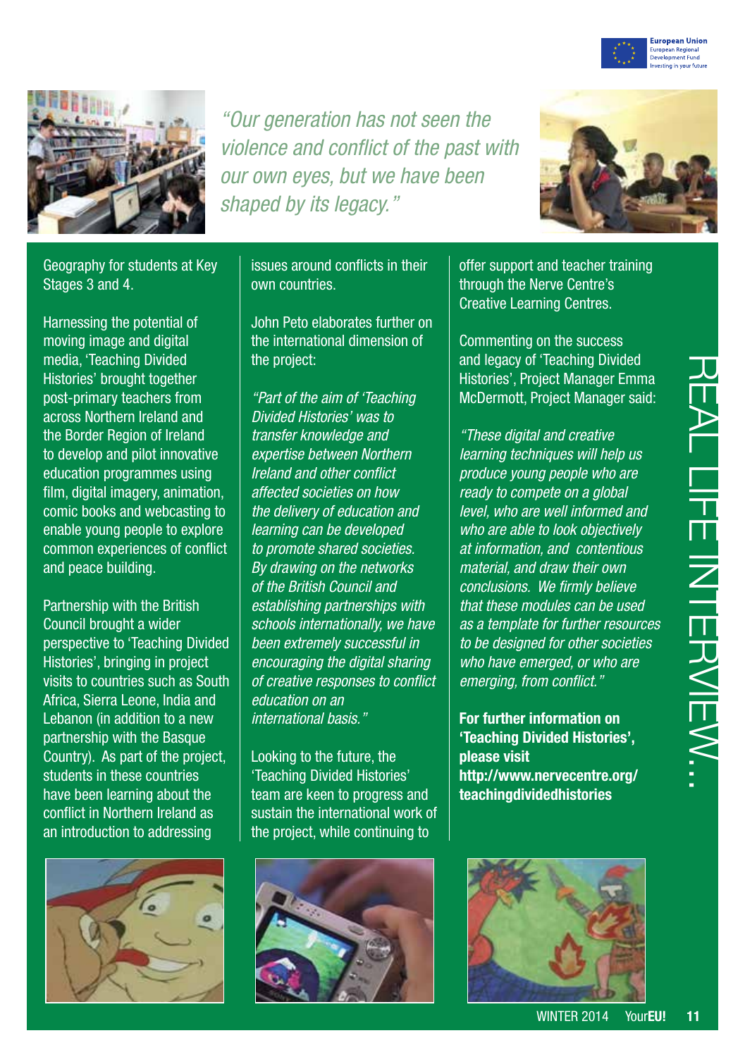



*"Our generation has not seen the violence and conflict of the past with our own eyes, but we have been shaped by its legacy."*



Geography for students at Key Stages 3 and 4.

Harnessing the potential of moving image and digital media, 'Teaching Divided Histories' brought together post-primary teachers from across Northern Ireland and the Border Region of Ireland to develop and pilot innovative education programmes using film, digital imagery, animation, comic books and webcasting to enable young people to explore common experiences of conflict and peace building.

Partnership with the British Council brought a wider perspective to 'Teaching Divided Histories', bringing in project visits to countries such as South Africa, Sierra Leone, India and Lebanon (in addition to a new partnership with the Basque Country). As part of the project, students in these countries have been learning about the conflict in Northern Ireland as an introduction to addressing



issues around conflicts in their own countries.

John Peto elaborates further on the international dimension of the project:

*"Part of the aim of 'Teaching Divided Histories' was to transfer knowledge and expertise between Northern Ireland and other conflict affected societies on how the delivery of education and learning can be developed to promote shared societies. By drawing on the networks of the British Council and establishing partnerships with schools internationally, we have been extremely successful in encouraging the digital sharing of creative responses to conflict education on an international basis."*

Looking to the future, the 'Teaching Divided Histories' team are keen to progress and sustain the international work of the project, while continuing to



offer support and teacher training through the Nerve Centre's Creative Learning Centres.

Commenting on the success and legacy of 'Teaching Divided Histories', Project Manager Emma McDermott, Project Manager said:

*"These digital and creative learning techniques will help us produce young people who are ready to compete on a global level, who are well informed and who are able to look objectively at information, and contentious material, and draw their own conclusions. We firmly believe that these modules can be used as a template for further resources to be designed for other societies who have emerged, or who are emerging, from conflict."*

**For further information on 'Teaching Divided Histories', please visit [http://www.nervecentre.org/](http://www.nervecentre.org/teachingdividedhistories) [teachingdividedhistories](http://www.nervecentre.org/teachingdividedhistories)**

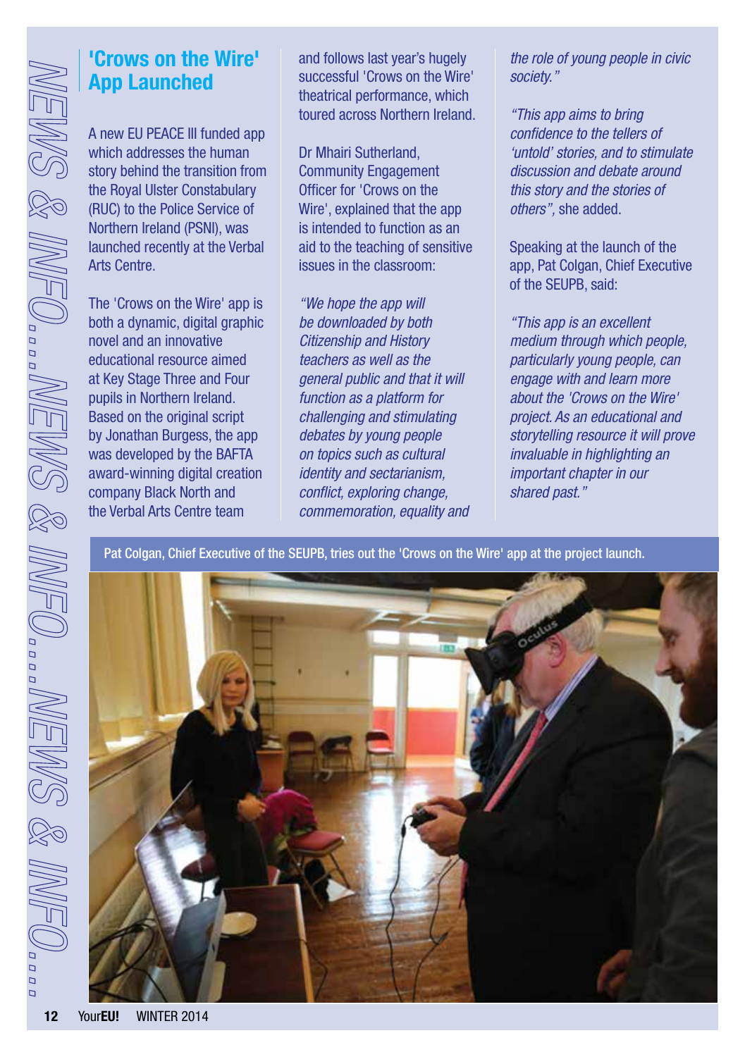### **'Crows on the Wire' App Launched**

A new EU PEACE III funded app which addresses the human story behind the transition from the Royal Ulster Constabulary (RUC) to the Police Service of Northern Ireland (PSNI), was launched recently at the Verbal Arts Centre.

The 'Crows on the Wire' app is both a dynamic, digital graphic novel and an innovative educational resource aimed at Key Stage Three and Four pupils in Northern Ireland. Based on the original script by Jonathan Burgess, the app was developed by the BAFTA award-winning digital creation company Black North and the Verbal Arts Centre team

and follows last year's hugely successful 'Crows on the Wire' theatrical performance, which toured across Northern Ireland.

Dr Mhairi Sutherland, Community Engagement Officer for 'Crows on the Wire', explained that the app is intended to function as an aid to the teaching of sensitive issues in the classroom:

*"We hope the app will be downloaded by both Citizenship and History teachers as well as the general public and that it will function as a platform for challenging and stimulating debates by young people on topics such as cultural identity and sectarianism, conflict, exploring change, commemoration, equality and*  *the role of young people in civic society."*

*"This app aims to bring confidence to the tellers of 'untold' stories, and to stimulate discussion and debate around this story and the stories of others",* she added.

Speaking at the launch of the app, Pat Colgan, Chief Executive of the SEUPB, said:

*"This app is an excellent medium through which people, particularly young people, can engage with and learn more about the 'Crows on the Wire' project. As an educational and storytelling resource it will prove invaluable in highlighting an important chapter in our shared past."*

Pat Colgan, Chief Executive of the SEUPB, tries out the 'Crows on the Wire' app at the project launch.

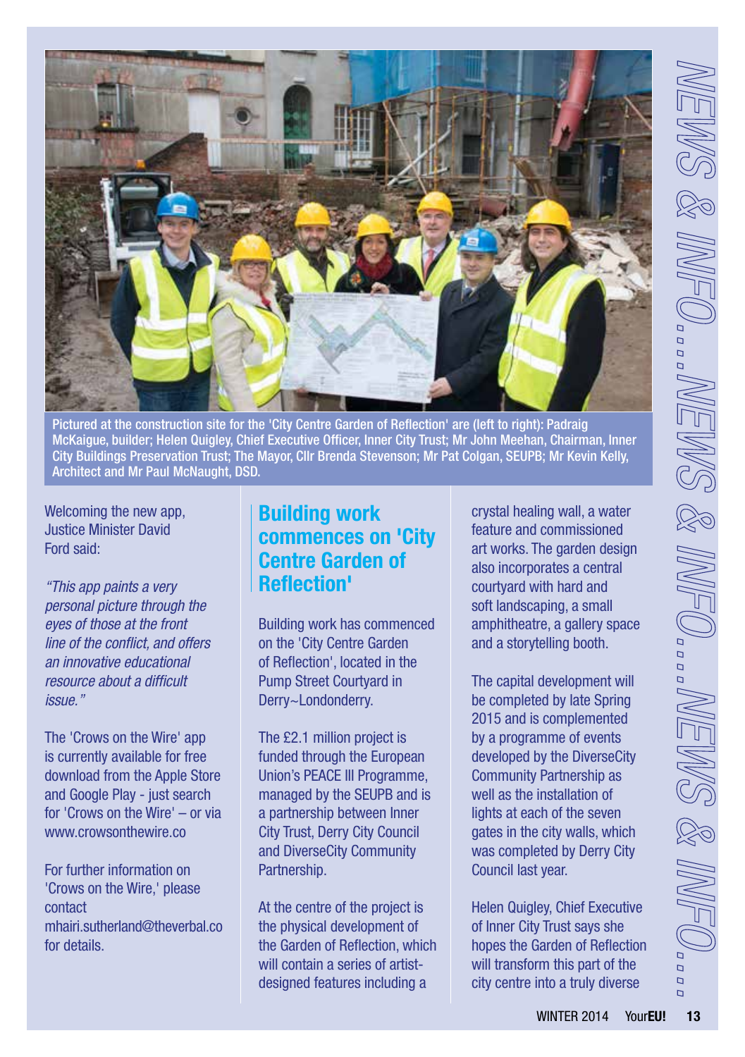

Pictured at the construction site for the 'City Centre Garden of Reflection' are (left to right): Padraig McKaigue, builder; Helen Quigley, Chief Executive Officer, Inner City Trust; Mr John Meehan, Chairman, Inner City Buildings Preservation Trust; The Mayor, Cllr Brenda Stevenson; Mr Pat Colgan, SEUPB; Mr Kevin Kelly, Architect and Mr Paul McNaught, DSD.

Welcoming the new app, Justice Minister David Ford said:

*"This app paints a very personal picture through the eyes of those at the front line of the conflict, and offers an innovative educational resource about a difficult issue."*

The 'Crows on the Wire' app is currently available for free download from the Apple Store and Google Play - just search for 'Crows on the Wire' – or via [www.crowsonthewire.co](http://www.crowsonthewire.co)

For further information on 'Crows on the Wire,' please contact [mhairi.sutherland@theverbal.co](mailto:mhairi.sutherland%40theverbal.co?subject=mhairi.sutherland%40theverbal.co)  for details.

### **Building work commences on 'City Centre Garden of Reflection'**

Building work has commenced on the 'City Centre Garden of Reflection', located in the Pump Street Courtyard in Derry~Londonderry.

The £2.1 million project is funded through the European Union's PEACE III Programme, managed by the SEUPB and is a partnership between Inner City Trust, Derry City Council and DiverseCity Community Partnership.

At the centre of the project is the physical development of the Garden of Reflection, which will contain a series of artistdesigned features including a

crystal healing wall, a water feature and commissioned art works. The garden design also incorporates a central courtyard with hard and soft landscaping, a small amphitheatre, a gallery space and a storytelling booth.

The capital development will be completed by late Spring 2015 and is complemented by a programme of events developed by the DiverseCity Community Partnership as well as the installation of lights at each of the seven gates in the city walls, which was completed by Derry City Council last year.

Helen Quigley, Chief Executive of Inner City Trust says she hopes the Garden of Reflection will transform this part of the city centre into a truly diverse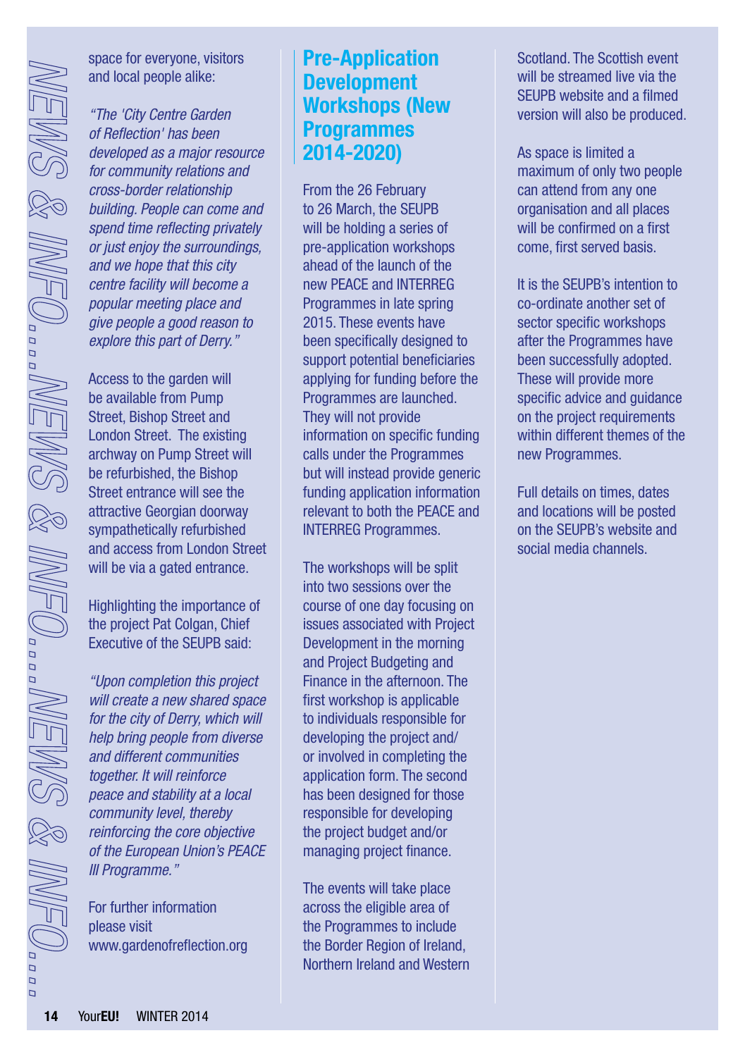space for everyone, visitors and local people alike:

*"The 'City Centre Garden of Reflection' has been developed as a major resource for community relations and cross-border relationship building. People can come and spend time reflecting privately or just enjoy the surroundings, and we hope that this city centre facility will become a popular meeting place and give people a good reason to explore this part of Derry."*

Access to the garden will be available from Pump Street, Bishop Street and London Street. The existing archway on Pump Street will be refurbished, the Bishop Street entrance will see the attractive Georgian doorway sympathetically refurbished and access from London Street will be via a gated entrance.

Highlighting the importance of the project Pat Colgan, Chief Executive of the SEUPB said:

*"Upon completion this project will create a new shared space for the city of Derry, which will help bring people from diverse and different communities together. It will reinforce peace and stability at a local community level, thereby reinforcing the core objective of the European Union's PEACE III Programme."*

For further information please visit [www.gardenofreflection.org](http://www.gardenofreflection.org)

### **Pre-Application Development Workshops (New Programmes 2014-2020)**

From the 26 February to 26 March, the SEUPB will be holding a series of pre-application workshops ahead of the launch of the new PEACE and INTERREG Programmes in late spring 2015. These events have been specifically designed to support potential beneficiaries applying for funding before the Programmes are launched. They will not provide information on specific funding calls under the Programmes but will instead provide generic funding application information relevant to both the PEACE and INTERREG Programmes.

The workshops will be split into two sessions over the course of one day focusing on issues associated with Project Development in the morning and Project Budgeting and Finance in the afternoon. The first workshop is applicable to individuals responsible for developing the project and/ or involved in completing the application form. The second has been designed for those responsible for developing the project budget and/or managing project finance.

The events will take place across the eligible area of the Programmes to include the Border Region of Ireland, Northern Ireland and Western Scotland. The Scottish event will be streamed live via the SEUPB website and a filmed version will also be produced.

As space is limited a maximum of only two people can attend from any one organisation and all places will be confirmed on a first come, first served basis.

It is the SEUPB's intention to co-ordinate another set of sector specific workshops after the Programmes have been successfully adopted. These will provide more specific advice and guidance on the project requirements within different themes of the new Programmes.

Full details on times, dates and locations will be posted on the SEUPB's website and social media channels.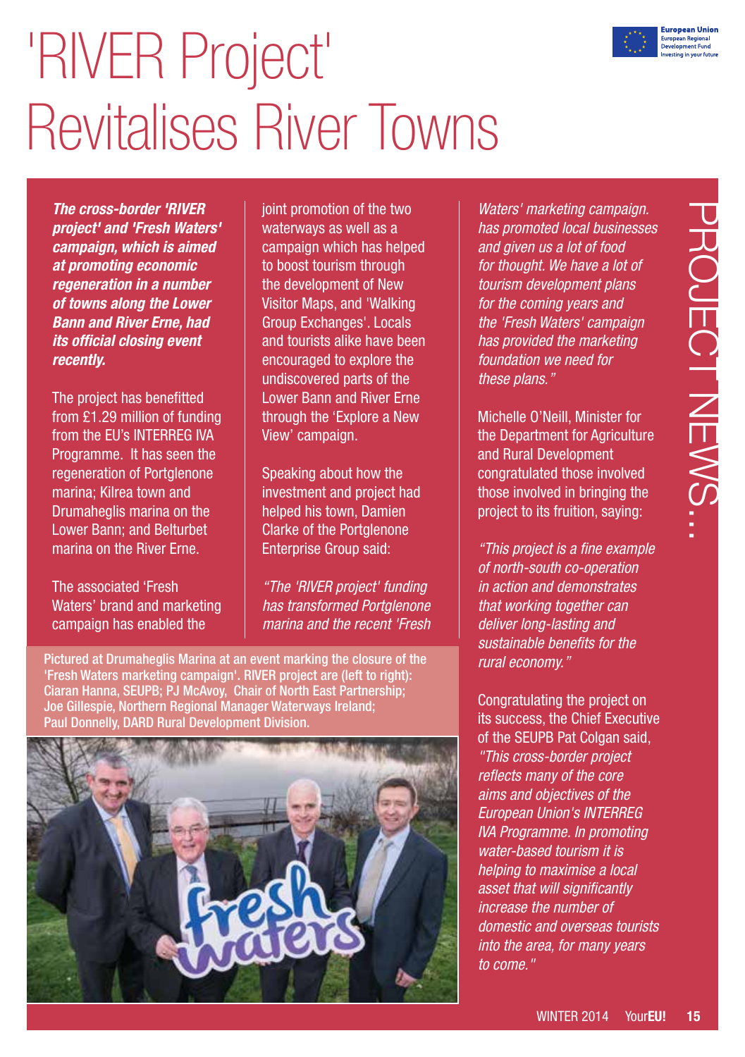

## 'RIVER Project' Revitalises River Towns

*The cross-border 'RIVER project' and 'Fresh Waters' campaign, which is aimed at promoting economic regeneration in a number of towns along the Lower Bann and River Erne, had its official closing event recently.* 

The project has benefitted from £1.29 million of funding from the EU's INTERREG IVA Programme. It has seen the regeneration of Portglenone marina; Kilrea town and Drumaheglis marina on the Lower Bann; and Belturbet marina on the River Erne.

The associated 'Fresh Waters' brand and marketing campaign has enabled the

joint promotion of the two waterways as well as a campaign which has helped to boost tourism through the development of New Visitor Maps, and 'Walking Group Exchanges'. Locals and tourists alike have been encouraged to explore the undiscovered parts of the Lower Bann and River Erne through the 'Explore a New View' campaign.

Speaking about how the investment and project had helped his town, Damien Clarke of the Portglenone Enterprise Group said:

*"The 'RIVER project' funding has transformed Portglenone marina and the recent 'Fresh* 

Pictured at Drumaheglis Marina at an event marking the closure of the 'Fresh Waters marketing campaign'. RIVER project are (left to right): Ciaran Hanna, SEUPB; PJ McAvoy, Chair of North East Partnership; Joe Gillespie, Northern Regional Manager Waterways Ireland; Paul Donnelly, DARD Rural Development Division.



*Waters' marketing campaign. has promoted local businesses and given us a lot of food for thought. We have a lot of tourism development plans for the coming years and the 'Fresh Waters' campaign has provided the marketing foundation we need for these plans."* 

Michelle O'Neill, Minister for the Department for Agriculture and Rural Development congratulated those involved those involved in bringing the project to its fruition, saying:

*"This project is a fine example of north-south co-operation in action and demonstrates that working together can deliver long-lasting and sustainable benefits for the rural economy."*

Congratulating the project on its success, the Chief Executive of the SEUPB Pat Colgan said. *"This cross-border project reflects many of the core aims and objectives of the European Union's INTERREG IVA Programme. In promoting water-based tourism it is helping to maximise a local asset that will significantly increase the number of domestic and overseas tourists into the area, for many years to come."*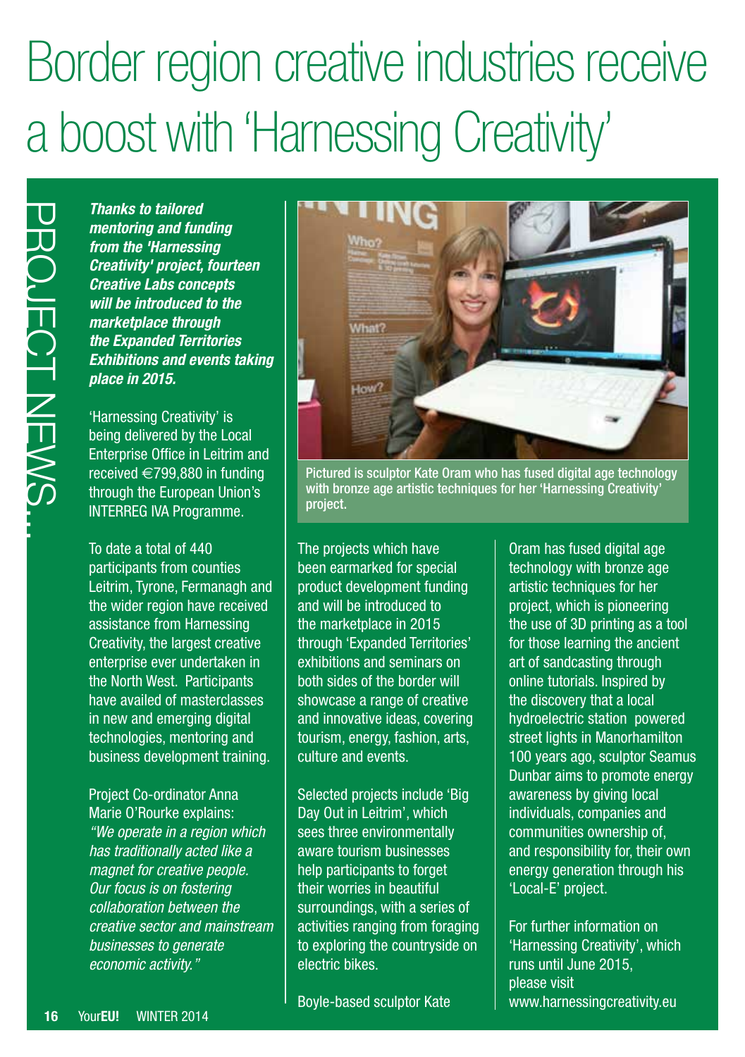### Border region creative industries receive a boost with 'Harnessing Creativity'

*Thanks to tailored mentoring and funding from the 'Harnessing Creativity' project, fourteen Creative Labs concepts will be introduced to the marketplace through the Expanded Territories Exhibitions and events taking place in 2015.*

'Harnessing Creativity' is being delivered by the Local Enterprise Office in Leitrim and received €799,880 in funding through the European Union's INTERREG IVA Programme.

Thanks to tailored<br>
mentoring and function<br>
from the 'Harnessii<br>
Creativity' project,<br>
creativity' project,<br>
will be introduced introduced in<br>
marketplace through<br>
the Expanded Terrins<br>
Exhibitions and every profect in Lin To date a total of 440 participants from counties Leitrim, Tyrone, Fermanagh and the wider region have received assistance from Harnessing Creativity, the largest creative enterprise ever undertaken in the North West. Participants have availed of masterclasses in new and emerging digital technologies, mentoring and business development training.

Project Co-ordinator Anna Marie O'Rourke explains: *"We operate in a region which has traditionally acted like a magnet for creative people. Our focus is on fostering collaboration between the creative sector and mainstream businesses to generate economic activity."*



Pictured is sculptor Kate Oram who has fused digital age technology with bronze age artistic techniques for her 'Harnessing Creativity' project.

The projects which have been earmarked for special product development funding and will be introduced to the marketplace in 2015 through 'Expanded Territories' exhibitions and seminars on both sides of the border will showcase a range of creative and innovative ideas, covering tourism, energy, fashion, arts, culture and events.

Selected projects include 'Big Day Out in Leitrim', which sees three environmentally aware tourism businesses help participants to forget their worries in beautiful surroundings, with a series of activities ranging from foraging to exploring the countryside on electric bikes.

Boyle-based sculptor Kate

Oram has fused digital age technology with bronze age artistic techniques for her project, which is pioneering the use of 3D printing as a tool for those learning the ancient art of sandcasting through online tutorials. Inspired by the discovery that a local hydroelectric station powered street lights in Manorhamilton 100 years ago, sculptor Seamus Dunbar aims to promote energy awareness by giving local individuals, companies and communities ownership of, and responsibility for, their own energy generation through his 'Local-E' project.

For further information on 'Harnessing Creativity', which runs until June 2015, please visit [www.harnessingcreativity.eu](http://www.harnessingcreativity.eu)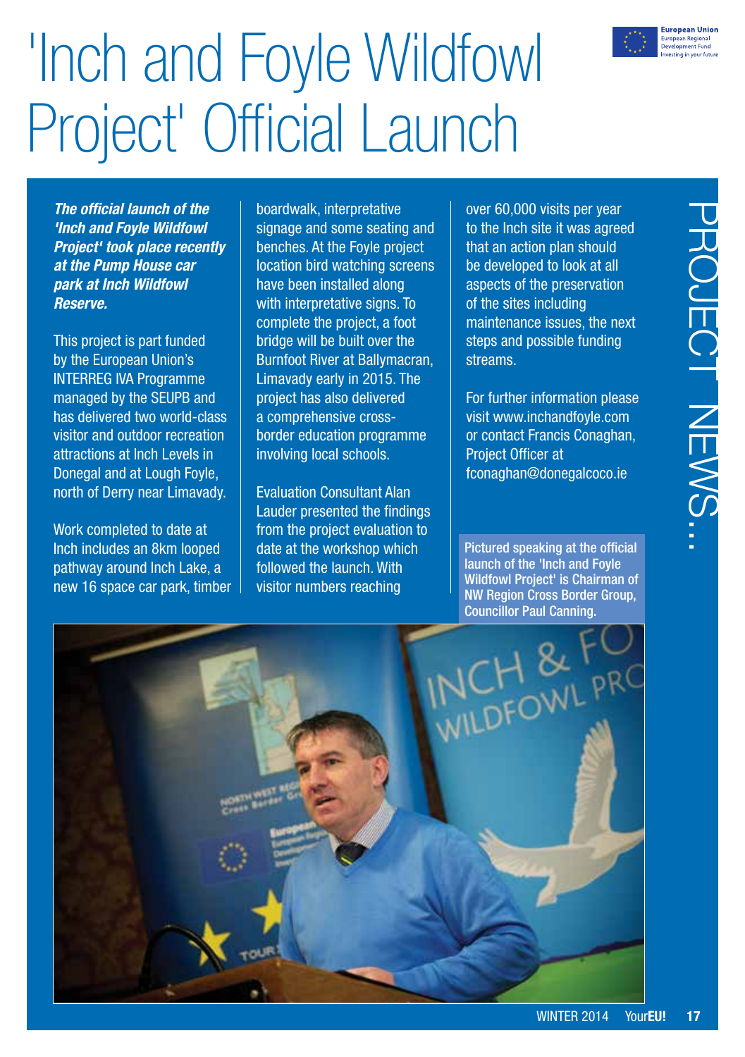

# 'Inch and Foyle Wildfowl Project' Official Launch

*The official launch of the 'Inch and Foyle Wildfowl Project' took place recently at the Pump House car park at Inch Wildfowl Reserve.* 

This project is part funded by the European Union's INTERREG IVA Programme managed by the SEUPB and has delivered two world-class visitor and outdoor recreation attractions at Inch Levels in Donegal and at Lough Foyle, north of Derry near Limavady.

Work completed to date at Inch includes an 8km looped pathway around Inch Lake, a new 16 space car park, timber boardwalk, interpretative signage and some seating and benches. At the Foyle project location bird watching screens have been installed along with interpretative signs. To complete the project, a foot bridge will be built over the Burnfoot River at Ballymacran, Limavady early in 2015. The project has also delivered a comprehensive crossborder education programme involving local schools.

Evaluation Consultant Alan Lauder presented the findings from the project evaluation to date at the workshop which followed the launch. With visitor numbers reaching

over 60,000 visits per year to the Inch site it was agreed that an action plan should be developed to look at all aspects of the preservation of the sites including maintenance issues, the next steps and possible funding streams.

For further information please visit [www.inchandfoyle.com](http://www.inchandfoyle.com) or contact Francis Conaghan, Project Officer at [fconaghan@donegalcoco.ie](mailto:fconaghan%40donegalcoco.ie?subject=fconaghan%40donegalcoco.ie)

Pictured speaking at the official launch of the 'Inch and Foyle Wildfowl Project' is Chairman of NW Region Cross Border Group,

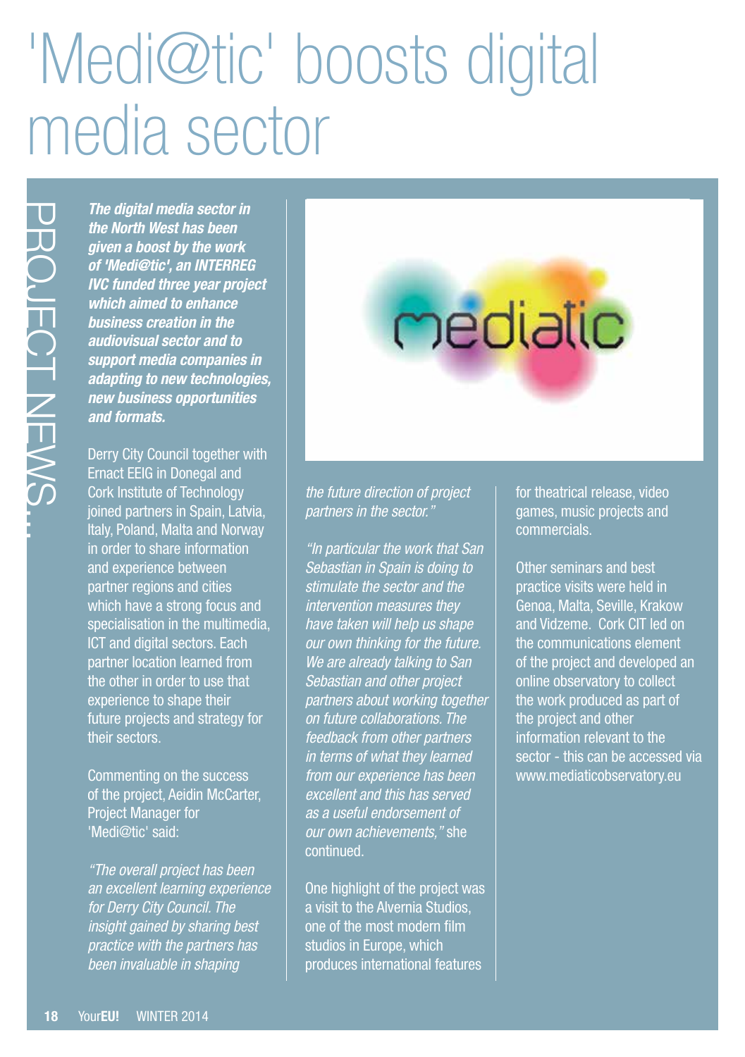## 'Medi@tic' boosts digital media sector

*The digital media sector in the North West has been given a boost by the work of 'Medi@tic', an INTERREG IVC funded three year project which aimed to enhance business creation in the audiovisual sector and to support media companies in adapting to new technologies, new business opportunities and formats.* 

The digital media set the North West has given a boost by the of Medi@tic', an IN<br>of Medi@tic', an IN<br>which aimed the eye.<br>Wischmend the end<br>business creation in<br>audiovisual sector a<br>support media comparador in audiovisual Derry City Council together with Ernact EEIG in Donegal and Cork Institute of Technology joined partners in Spain, Latvia, Italy, Poland, Malta and Norway in order to share information and experience between partner regions and cities which have a strong focus and specialisation in the multimedia, ICT and digital sectors. Each partner location learned from the other in order to use that experience to shape their future projects and strategy for their sectors.

Commenting on the success of the project, Aeidin McCarter, **Project Manager for** 'Medi@tic' said:

*"The overall project has been an excellent learning experience for Derry City Council. The insight gained by sharing best practice with the partners has been invaluable in shaping* 

### *the future direction of project partners in the sector."*

*"In particular the work that San Sebastian in Spain is doing to stimulate the sector and the intervention measures they have taken will help us shape our own thinking for the future. We are already talking to San Sebastian and other project partners about working together on future collaborations. The feedback from other partners in terms of what they learned from our experience has been excellent and this has served as a useful endorsement of our own achievements,"* she continued.

One highlight of the project was a visit to the Alvernia Studios, one of the most modern film studios in Europe, which produces international features

for theatrical release, video games, music projects and commercials.

mediatic

Other seminars and best practice visits were held in Genoa, Malta, Seville, Krakow and Vidzeme. Cork CIT led on the communications element of the project and developed an online observatory to collect the work produced as part of the project and other information relevant to the sector - this can be accessed via [www.mediaticobservatory.eu](http://www.mediaticobservatory.eu)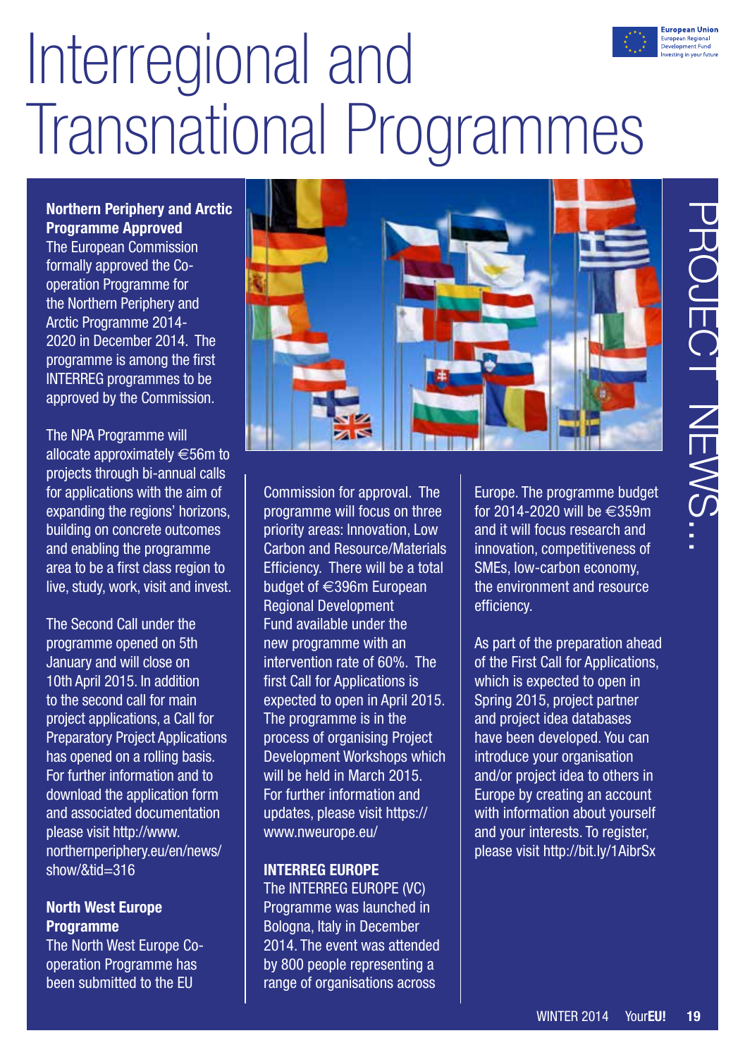# Interregional and Transnational Programmes

**Northern Periphery and Arctic Programme Approved**

The European Commission formally approved the Cooperation Programme for the Northern Periphery and Arctic Programme 2014- 2020 in December 2014. The programme is among the first INTERREG programmes to be approved by the Commission.

The NPA Programme will allocate approximately €56m to projects through bi-annual calls for applications with the aim of expanding the regions' horizons, building on concrete outcomes and enabling the programme area to be a first class region to live, study, work, visit and invest.

The Second Call under the programme opened on 5th January and will close on 10th April 2015. In addition to the second call for main project applications, a Call for Preparatory Project Applications has opened on a rolling basis. For further information and to download the application form and associated documentation please visit [http://www.](http://www.northernperiphery.eu/en/news/show/&tid=316) [northernperiphery.eu/en/news/](http://www.northernperiphery.eu/en/news/show/&tid=316) [show/&tid=316](http://www.northernperiphery.eu/en/news/show/&tid=316)

#### **North West Europe Programme**

The North West Europe Cooperation Programme has been submitted to the EU



Commission for approval. The programme will focus on three priority areas: Innovation, Low Carbon and Resource/Materials Efficiency. There will be a total budget of €396m European Regional Development Fund available under the new programme with an intervention rate of 60%. The first Call for Applications is expected to open in April 2015. The programme is in the process of organising Project Development Workshops which will be held in March 2015. For further information and updates, please visit https:// [www.nweurope.eu/](http://www.nweurope.eu/)

### **INTERREG EUROPE**

The INTERREG EUROPE (VC) Programme was launched in Bologna, Italy in December 2014. The event was attended by 800 people representing a range of organisations across

Europe. The programme budget for 2014-2020 will be €359m and it will focus research and innovation, competitiveness of SMEs, low-carbon economy, the environment and resource efficiency.

As part of the preparation ahead of the First Call for Applications, which is expected to open in Spring 2015, project partner and project idea databases have been developed. You can introduce your organisation and/or project idea to others in Europe by creating an account with information about yourself and your interests. To register, please visit<http://bit.ly/1AibrSx>

**European Unior** uropean Regional<br>Jevelopment Fund